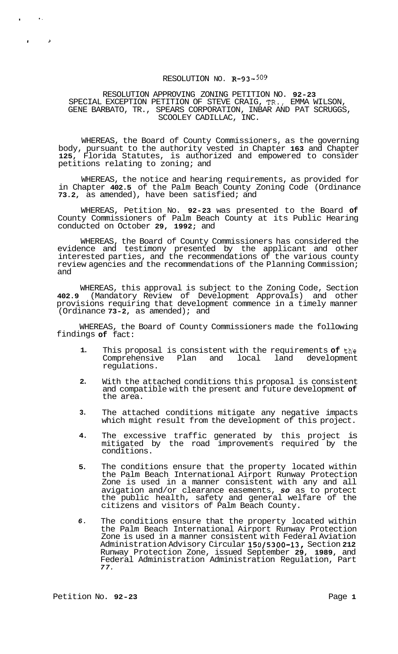## RESOLUTION NO. **R-93-509**

RESOLUTION APPROVING ZONING PETITION NO. **92-23**  SPECIAL EXCEPTION PETITION OF STEVE CRAIG, TR., EMMA WILSON, GENE BARBATO, TR., SPEARS CORPORATION, INBAR AND PAT SCRUGGS, SCOOLEY CADILLAC, INC.

WHEREAS, the Board of County Commissioners, as the governing body, pursuant to the authority vested in Chapter **163** and Chapter **125,** Florida Statutes, is authorized and empowered to consider petitions relating to zoning; and

WHEREAS, the notice and hearing requirements, as provided for in Chapter **402.5** of the Palm Beach County Zoning Code (Ordinance **73.2,** as amended), have been satisfied; and

WHEREAS, Petition No. **92-23** was presented to the Board **of**  County Commissioners of Palm Beach County at its Public Hearing conducted on October **29, 1992;** and

WHEREAS, the Board of County Commissioners has considered the evidence and testimony presented by the applicant and other interested parties, and the recommendations of the various county review agencies and the recommendations of the Planning Commission; and

WHEREAS, this approval is subject to the Zoning Code, Section **402.9** (Mandatory Review of Development Approvals) and other provisions requiring that development commence in a timely manner (Ordinance **73-2,** as amended); and

WHEREAS, the Board of County Commissioners made the following findings **of** fact:

- **1.**  This proposal is consistent with the requirements **of** th'e Comprehensive Plan and local regulations.
- **2.**  With the attached conditions this proposal is consistent and compatible with the present and future development **of**  the area.
- **3.**  The attached conditions mitigate any negative impacts which might result from the development of this project.
- **4.**  The excessive traffic generated by this project is mitigated by the road improvements required by the conditions.
- **5.**  The conditions ensure that the property located within the Palm Beach International Airport Runway Protection Zone is used in a manner consistent with any and all avigation and/or clearance easements, *so* as to protect the public health, safety and general welfare of the citizens and visitors of Palm Beach County.
- *6.*  The conditions ensure that the property located within the Palm Beach International Airport Runway Protection Zone is used in a manner consistent with Federal Aviation Administration Advisory Circular **150/5300-13,** Section **212**  Runway Protection Zone, issued September **29, 1989,** and Federal Administration Administration Regulation, Part *77.*

. .

*1 P*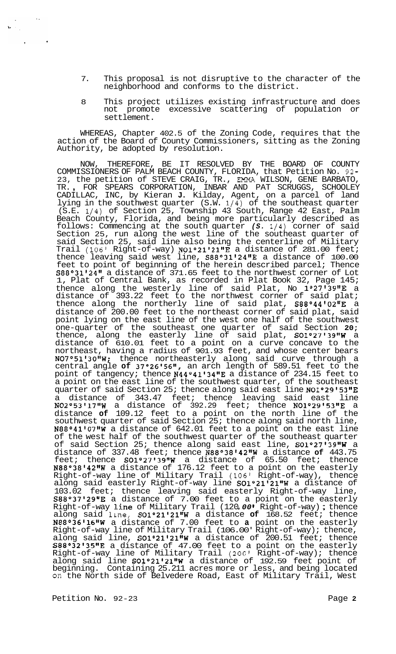- 7. This proposal is not disruptive to the character of the neighborhood and conforms to the district.
- 8 This project utilizes existing infrastructure and does not promote excessive scattering of population or settlement.

WHEREAS, Chapter 402.5 of the Zoning Code, requires that the action of the Board of County Commissioners, sitting as the Zoning Authority, be adopted by resolution.

NOW, THEREFORE, BE IT RESOLVED BY THE BOARD OF COUNTY COMMISSIONERS OF PALM BEACH COUNTY, FLORIDA, that Petition No. 92- 23, the petition of STEVE CRAIG, TR., EMMA WILSON, GENE BARBATO, TR. , FOR SPEARS CORPORATION, INBAR AND PAT SCRUGGS, SCHOOLEY CADILLAC, INC, by Kieran **J.** Kilday, Agent, on a parcel of land lying in the southwest quarter (S.W. 1/4) of the southeast quarter (S.E. 1/4) of Section 25, Township 43 South, Range 42 East, Palm Beach County, Florida, and being more particularly described as follows: Commencing at the south quarter *(S.* 1/4) corner of said Section 25, run along the west line of the southeast quarter of said Section 25, said line also being the centerline of Military Trail (106' Right-of-way)  $\texttt{NO1°21'21''E}$  a distance of 281.00 feet; thence leaving said west line, S88°31'24"E a distance of 100.00 feet to point of beginning of the herein described parcel; Thence S88°31'24" a distance of 371.65 feet to the northwest corner of Lot 1, Plat of Central Bank, as recorded in Plat Book 32, Page 145; thence along the westerly line of said Plat, No  $1°27'39''E$  a distance of 393.22 feet to the northwest corner of said plat; thence along the northerly line of said plat,  $$88°44'02"E$  a distance of 200.00 feet to the northeast corner of said plat, said point lying on the east line of the west one half of the southwest one-quarter of the southeast one quarter of said Section **20;**  thence, along the easterly line of said plat, S01°27'39"W a distance of 610.01 feet to a point on a curve concave to the northeast, having a radius of 901.93 feet, and whose center bears NO7°51'30"W; thence northeasterly along said curve through a central angle **of** 37O26I56", an arch length of 589.51 feet to the point of tangency; thence **N44°41'34"E** a distance of 234.15 feet to a point on the east line of the southwest quarter, of the southeast quarter of said Section 25; thence along said east line  $NO1°29'53"E$ a distance of 343.47 feet; thence leaving said east line N02°53'1711W a distance of 392.29 feet; thence N01°29'5311E a distance **of** 109.12 feet to a point on the north line of the southwest quarter of said Section 25; thence along said north line, N88°41'07"W a distance of 642.01 feet to a point on the east line of the west half of the southwest quarter of the southeast quarter of said Section 25; thence along said east line, S01°27'39"W a distance of 337.48 feet; thence N88°38'4211W a distance **of** 443.75 feet; thence SO1°27'39"W a distance of 65.50 feet; thence <code>N88°38'42"W</code> a distance of 176.12 feet to a point on the easterly Right-of-way line of Military Trail (106' Right-of-way), thence along said easterly Right-of-way line 501°21'21"W a distance of 103.02 feet; thence leaving said easterly Right-of-way line, S88°37'29"E a distance of 7.00 feet to a point on the easterly Right-of-way line of Military Trail (120.00' Right-of-way); thence Right-of-way line of Military Trail (120.00' Right-of-way); thence along said line, **SO1°21'21"W** a distance of 168.52 feet; thence N88°3611611W a distance of 7.00 feet to **a** point on the easterly Right-of-way line of Military Trail (106.00' Right-of-way); thence, along said line, SO1°21'21"W a distance of 200.51 feet; thence  $S88°32'35''E$  a distance of 47.00 feet to a point on the easterly Right-of-way line of Military Trail (200' Right-of-way); thence along said line **SO1°21'21"W** a distance of 192.59 feet point of beginning. Containing 25.211 acres more or less, and being located On the North side of Belvedere Road, East of Military Trail, West

Petition No. 92-23 **Page 2 Page 2** 

 $\mathbf{b}^{(i)}$  .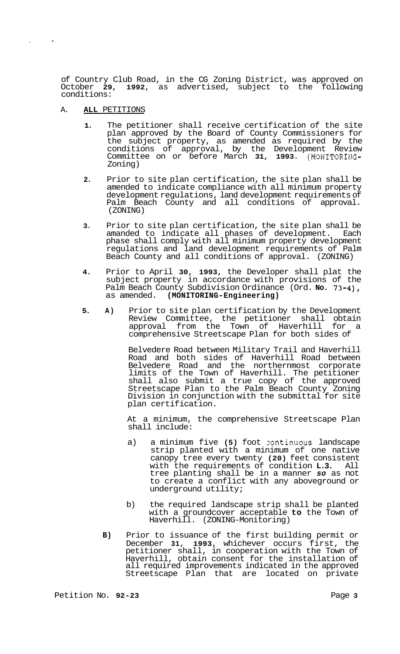of Country Club Road, in the CG Zoning District, was approved on<br>October 29, 1992, as advertised, subject to the following 1992, as advertised, subject to the following conditions:

#### A. **ALL** PETITIONS

 $\sim 100$ 

- **1.** The petitioner shall receive certification of the site plan approved by the Board of County Commissioners for the subject property, as amended as required by the conditions of approval, by the Development Review Committee on or before March **31, 1993.** (MONITORING-Zoning)
- **2.** Prior to site plan certification, the site plan shall be amended to indicate compliance with all minimum property development regulations, land development requirements of Palm Beach County and all conditions of approval. (ZONING)
- **3.** Prior to site plan certification, the site plan shall be amanded to indicate all phases of development. Each phase shall comply with all minimum property development regulations and land development requirements of Palm Beach County and all conditions of approval. (ZONING)
- **4.** Prior to April **30, 1993,** the Developer shall plat the subject property in accordance with provisions of the Palm Beach County Subdivision Ordinance (Ord. **No. 73-4),**  as amended. **(MONITORING-Engineering)**
- **5. A)** Prior to site plan certification by the Development Review Committee, the petitioner shall obtain approval from the Town of Haverhill for a comprehensive Streetscape Plan for both sides of

Belvedere Road between Military Trail and Haverhill Road and both sides of Haverhill Road between Belvedere Road and the northernmost corporate Belvedere Road and the Horsemannian petitioner shall also submit a true copy of the approved Streetscape Plan to the Palm Beach County Zoning Division in conjunction with the submittal for site plan certification.

At a minimum, the comprehensive Streetscape Plan shall include:

- a) a minimum five (5) foot continuous landscape strip planted with a minimum of one native canopy tree every twenty **(20)** feet consistent with the requirements of condition **L.3.** All tree planting shall be in a manner *so* as not to create a conflict with any aboveground or underground utility;
- b) the required landscape strip shall be planted with a groundcover acceptable **to** the Town of Haverhill. (ZONING-Monitoring)
- **B)** Prior to issuance of the first building permit or December **31, 1993,** whichever occurs first, the petitioner shall, in cooperation with the Town of Haverhill, obtain consent for the installation of all required improvements indicated in the approved Streetscape Plan that are located on private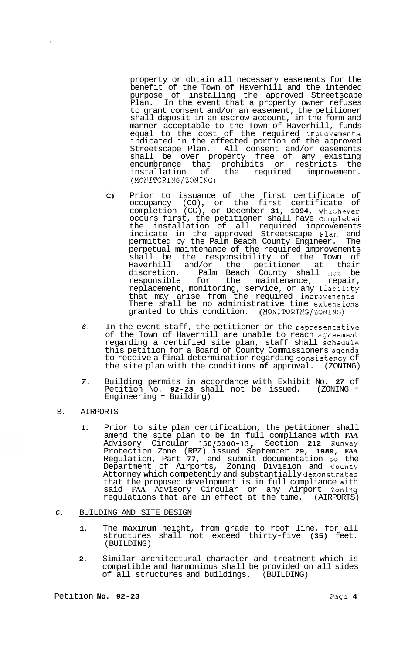property or obtain all necessary easements for the benefit of the Town of Haverhill and the intended purpose of installing the approved Streetscape Plan. In the event that a property owner refuses to grant consent and/or an easement, the petitioner shall deposit in an escrow account, in the form and manner acceptable to the Town of Haverhill, funds equal to the cost of the required improvements indicated in the affected portion of the approved Streetscape Plan. All consent and/or easements shall be over property free of any existing encumbrance that prohibits or restricts the installation of the required improvement. (MONITORING/ZONING)

- $\mathsf{C}$ Prior to issuance of the first certificate of<br>occupancy (CO), or the first certificate of occupancy (CO), or the first certificate of<br>completion (CC), or December 31, 1994, whichever occurs first, the petitioner shall have completed the installation of all required improvements indicate in the approved Streetscape Plan; and permitted by the Palm Beach County Engineer. The perpetual maintenance **of** the required improvements shall be the responsibility of the Town of Haverhill and/or the petitioner at their discretion. Palm Beach County shall not be responsible for the maintenance, repair, replacement, monitoring, service, or any liability that may arise from the required improvements. There shall be no administrative time extensions granted to this condition. (MONITORING/ZONING)
- 6. In the event staff, the petitioner or the representative of the Town of Haverhill are unable to reach agreement regarding a certified site plan, staff shall schedule this petition for a Board of County Commissioners agenda to receive a final determination regarding consistency of the site plan with the conditions **of** approval. (ZONING)
- *7.* Building permits in accordance with Exhibit No. **27** of Petition No. **92-23** shall not be issued. (ZONING - Petition No. **92-23** sna.<br>Engineering <del>-</del> Building)
- B. AIRPORTS

ï

**1.** Prior to site plan certification, the petitioner shall amend the site plan to be in full compliance with **FAA**  Advisory Circular **150/5300-13,** Section **212** Runway Protection Zone (RPZ) issued September **29, 1989, FAA**  Regulation, Part 77, and submit documentation to the Department of Airports, Zoning Division and County Attorney which competently and substantially demonstrates  $\,$ that the proposed development is in full compliance with said FAA Advisory Circular or any Airport Zoning regulations that are in effect at the time. (AIRPORTS)

#### *C.* BUILDING AND SITE DESIGN

- **1.** The maximum height, from grade to roof line, for all structures shall not exceed thirty-five **(35)** feet. (BUILDING)
- **2.** Similar architectural character and treatment which is compatible and harmonious shall be provided on all sides of all structures and buildings. (BUILDING)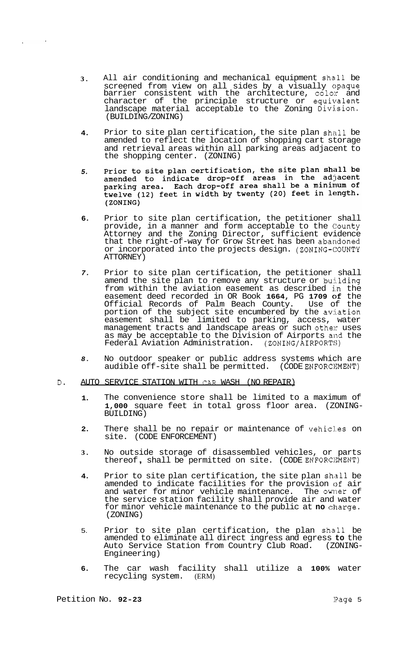- **3.**  All air conditioning and mechanical equipment shall be screened from view on all sides by a visually opaque barrier consistent with the architecture, color and character of the principle structure or equivalent landscape material acceptable to the Zoning Division. (BUILDING/ZONING)
- **4.**  Prior to site plan certification, the site plan shall be amended to reflect the location of shopping cart storage and retrieval areas within all parking areas adjacent to the shopping center. (ZONING)
- Prior to site plan certification, the site plan shall be amended to indicate drop-off areas in the adjacent parking area. Each drop-off area shall be a minimum of *5.*  twelve (12) feet in width by twenty (20) feet in length. (ZONING)
- **6.**  Prior to site plan certification, the petitioner shall provide, in a manner and form acceptable to the County Attorney and the Zoning Director, sufficient evidence that the right-of-way for Grow Street has been abandoned or incorporated into the projects design. (ZONING-COUNTY ATTORNEY)
- *7.*  Prior to site plan certification, the petitioner shall amend the site plan to remove any structure or building from within the aviation easement as described in the easement deed recorded in OR Book **1664,** PG **1709** of the Official Records of Palm Beach County. Use of the portion of the subject site encumbered by the aviation easement shall be limited to parking, access, water management tracts and landscape areas or such other uses as may be acceptable to the Division of Airports and the<br>Federal Aviation Administration. (ZONING/AIRPORTS) Federal Aviation Administration.
- *8.*  No outdoor speaker or public address systems which are audible off-site shall be permitted. (CODE ENFORCNENT)
- D. AUTO SERVICE STATION WITH CAR WASH (NO REPAIR)
	- **1.**  The convenience store shall be limited to a maximum of **1,000** square feet in total gross floor area. (ZONING- BUILDING)
	- **2.**  There shall be no repair or maintenance of vehicles on site. (CODE ENFORCEMENT)
	- **3.**  No outside storage of disassembled vehicles, or parts thereof , shall be permitted on site. (CODE ENF0RC:IWENT)
	- **4.**  Prior to site plan certification, the site plan shall be amended to indicate facilities for the provision of air and water for minor vehicle maintenance. The owner of the service station facility shall provide air and water for minor vehicle maintenance to the public at **no** charge. (ZONING)
	- 5. Prior to site plan certification, the plan shall be amended to eliminate all direct ingress and egress **to** the Auto Service Station from Country Club Road. (ZONING- Engineering)
	- **6.**  The car wash facility shall utilize a **100%** water recycling system. (ERM)

 $\sim 10^7$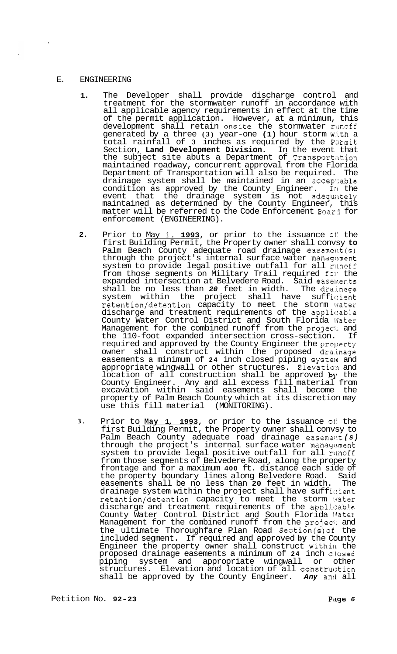#### E. ENGINEERING

- **1.**  The Developer shall provide discharge control and treatment for the stormwater runoff in accordance with all applicable agency requirements in effect at the time of the permit application. However, at a minimum, this development shall retain onsite the stormwater runoff generated by a three **(3)** year-one **(1)** hour storm w:tth a total rainfall of 3 inches as required by the Permit Section, **Land Development Division.** In the event that the subject site abuts a Department of Transportation maintained roadway, concurrent approval from the Florida Department of Transportation will also be required. The drainage system shall be maintained in an accepi:able condition as approved by the County Engineer. Irl the event that the drainage system is not adequately maintained as determined by the County Engineer, this matter will be referred to the Code Enforcement Boar3 for enforcement (ENGINEERING).
- **2.**  Prior to May **1, 1993,** or prior to the issuance **01:** the first Building Permit, the Property owner shall convsy **to**  Palm Beach County adequate road drainage easement(s) through the project's internal surface water  $m$ anagement system to provide legal positive outfall for all runoff from those segments on Military Trail required fol: the expanded intersection at Belvedere Road. Said easements shall be no less than 20 feet in width. The drainage shall be no less than 20 feet in width. system within the project shall have sufficient retention/detention capacity to meet the storm water discharge and treatment requirements of the applicable County Water Control District and South Florida 1Jater Management for the combined runoff from the projecf: and the 110-foot expanded intersection cross-section. If required and approved by the County Engineer the property owner shall construct within the proposed dra.inage easements a minimum of 24 inch closed piping system and appropriate wingwall or other structures. Elevation and location of all construction shall be approved by the County Engineer. Any and all excess fill material from excavation within said easements shall become the property of Palm Beach County which at its discretion may use this fill material (MONITORING).
- **3.**  Prior to <u>May 1, 1993</u>, or prior to the issuance of the first Building Permit, the Property owner shall convsy to Palm Beach County adequate road drainage easement (s) through the project's internal surface water management system to provide legal positive outfall for all runoff from those segments of Belvedere Road, along the property frontage and for a maximum **400** ft. distance each side of the property boundary lines along Belvedere Road. Said easements shall be no less than **20** feet in width. The drainage system within the project shall have sufficient retention/detention capacity to meet the storm lfater discharge and treatment requirements of the applicable County Water Control District and South Florida Water Management for the combined runoff from the project and the ultimate Thoroughfare Plan Road Section(s)of the included segment. If required and approved **by** the County Engineer the property owner shall construct within the proposed drainage easements a minimum of 24 inch closed piping system and appropriate wingwall or other structures. Elevation and location of all construction shall be approved by the County Engineer. **Any** and all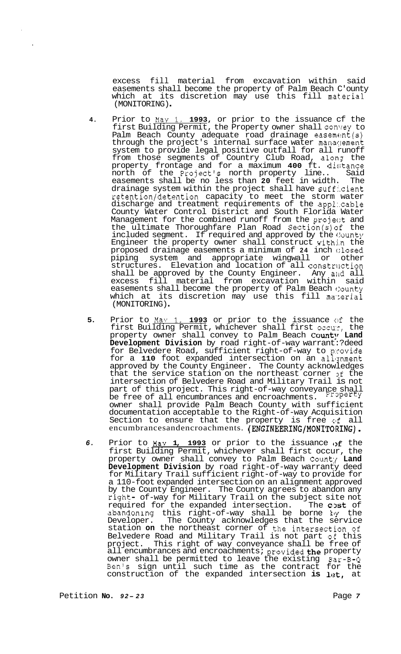excess fill material from excavation within said easements shall become the property of Palm Beach C'ounty which at its discretion may use this fill material (MONITORING) .

- **4.** Prior to May **1, 1993,** or prior to the issuance cf the first Building Permit, the Property owner shall convey to Palm Beach County adequate road drainage easement(s) through the project's internal surface water manaslement system to provide legal positive outfall for all runoff from those segments of Country Club Road, along the property frontage and for a maximum **400** ft. disitance north of the Project's north property line.. Said easements shall be no less than **20** feet in width. The drainage system within the project shall have suff:.cient retention/detention capacity to meet the storm water discharge and treatment requirements of the appl:.cable County Water Control District and South Florida Water Management for the combined runoff from the project and the ultimate Thoroughfare Plan Road Section(s)of the included segment. If required and approved by the County Engineer the property owner shall construct withj.n the proposed drainage easements a minimum of **24** inch c:losed piping system and appropriate wingwall or other structures. Elevation and location of all construction shall be approved by the County Engineer. Any and all excess fill material from excavation within said easements shall become the property of Palm Beach County which at its discretion may use this fill material (MONITORING) .
- **5.** Prior to May 1, 1993 or prior to the issuance of the first Building Permit, whichever shall first occu:, the property owner shall convey to Palm Beach **Count**y Land **Development Division** by road right-of-way warrant:? deed for Belvedere Road, sufficient right-of-way to provide for a 110 foot expanded intersection on an alignment approved by the County Engineer. The County acknowledges that the service station on the northeast corner of the intersection of Belvedere Road and Military Trail is not part of this project. This right-of-way conveyance shall be free of all encumbrances and encroachments. Property owner shall provide Palm Beach County with sufficient documentation acceptable to the Right-of-way Acquisition Section to ensure that the property is free of all encumbrancesandencroachments. **(ENGINEERING/MONITORING).**
- *6.* Prior to **May 1, 1993** or prior to the issuance of the first Building Permit, whichever shall first occur, the property owner shall convey to Palm Beach Count:{ **Land Development Division** by road right-of-way warranty deed for Military Trail sufficient right-of-way to provide for a 110-foot expanded intersection on an alignment approved by the County Engineer. The County agrees to abandon any right- of-way for Military Trail on the subject site not required for the expanded intersection. The cost of abandoning this right-of-way shall be borne ky the Developer. The County acknowledges that the service station **on** the northeast corner of the intersection of Belvedere Road and Military Trail is not part of this project. This right of way conveyance shall be free of all encumbrances and encroachments; provided the property owner shall be permitted to leave the existing Bar-B-Q Ben's sign until such time as the contract for the construction of the expanded intersection is let, at

Petition **No.**  $92 - 23$  Page 7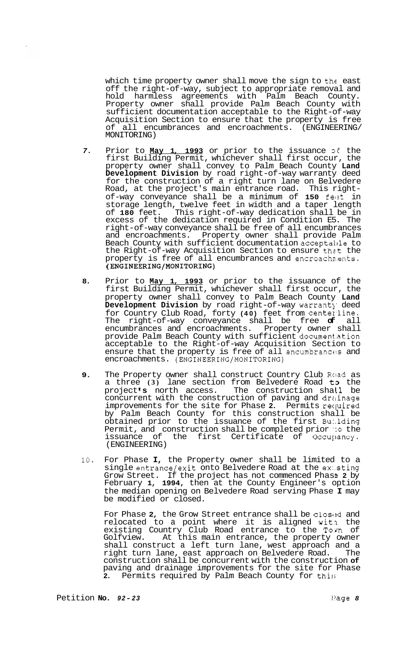which time property owner shall move the sign to the east off the right-of-way, subject to appropriate removal and hold harmless agreements with Palm Beach County. Property owner shall provide Palm Beach County with sufficient documentation acceptable to the Right-of-way Acquisition Section to ensure that the property is free of all encumbrances and encroachments. (ENGINEERING/ MONITORING)

- *7.* Prior to **May 1, 1993** or prior to the issuance *o€* the first Building Permit, whichever shall first occur, the property owner shall convey to Palm Beach County **Land Development Division** by road right-of-way warranty deed for the construction of a right turn lane on Belvedere Road, at the project's main entrance road. This right- of-way conveyance shall be a minimum of **150** felzt in storage length, twelve feet in width and a taper length of **180** feet. This right-of-way dedication shall be in excess of the dedication required in Condition E5. The right-of-way conveyance shall be free of all encumbrances and encroachments. Property owner shall provide Palm Beach County with sufficient documentation acceptable to the Right-of-way Acquisition Section to ensure that the property is free of all encumbrances and encroachments. **(ENGINEERING/MONITORING)**
- **8.** Prior to **May 1, 1993** or prior to the issuance of the first Building Permit, whichever shall first occur, the property owner shall convey to Palm Beach County **Land**  Development Division by road right-of-way warrant<sub>)</sub> deed for Country Club Road, forty (40) feet from centerline. The right-of-way conveyance shall be free **of** all encumbrances and encroachments. Property owner shall provide Palm Beach County with sufficient document.ation acceptable to the Right-of-way Acquisition Section to ensure that the property is free of all encumbrances and encroachments. **(ENGINEERING/MONITORING)**
- **9.** The Property owner shall construct Country Club Ruad as a three **(3)** lane section from Belvedere Road t3 the project's north access. The construction shall be concurrent with the construction of paving and drainage improvements for the site for Phase **2.** Permits recpired by Palm Beach County for this construction shall be obtained prior to the issuance of the first Bu:.lding Permit, and construction shall be completed prior *':o* the the first Certificate of Occupancy. (ENGINEERING)
- **10.** For Phase **I,** the Property owner shall be limited to a single entrance/exit onto Belvedere Road at the ex:sting Grow Street. If the project has not commenced Phas **3 2** by February **1, 1994,** then at the County Engineer's option the median opening on Belvedere Road serving Phase **I** may be modified or closed.

For Phase 2, the Grow Street entrance shall be closed and relocated to a point where it is aligned witn the existing Country Club Road entrance to the Town of Golfview. At this main entrance, the property owner shall construct a left turn lane, west approach and a right turn lane, east approach on Belvedere Road. The construction shall be concurrent with the construction **of**  paving and drainage improvements for the site for Phase<br>2. Permits required by Palm Beach County for this Permits required by Palm Beach County for this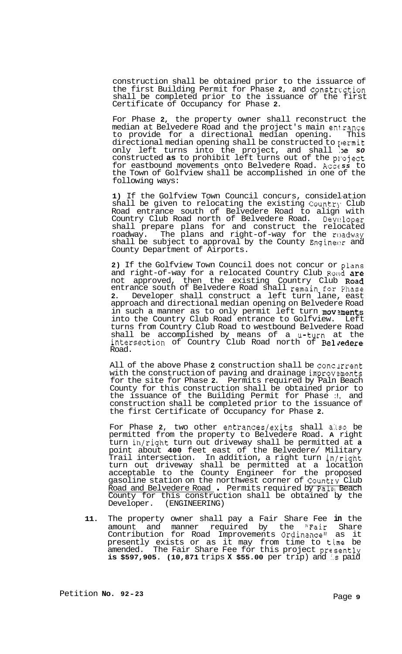construction shall be obtained prior to the issuarce of the first Building Permit for Phase **2,** and constrtction shall be completed prior to the issuance of the first Certificate of Occupancy for Phase **2.** 

For Phase **2,** the property owner shall reconstruct the median at Belvedere Road and the project's main ent.rance to provide for a directional median opening. This directional median opening shall be constructed to permit only left turns into the project, and shall :>e *so*  constructed **as** to prohibit left turns out of the pl-oject for eastbound movements onto Belvedere Road. Access to the Town of Golfview shall be accomplished in one of the following ways:

**1)** If the Golfview Town Council concurs, considel-ation shall be given to relocating the existing Country' Club Road entrance south of Belvedere Road to align with Country Club Road north of Belvedere Road. Devc!loper shall prepare plans for and construct the relocated roadway. The plans and right-of-way for the roadway shall be subject to approval by the County Engineer and County Department of Airports.

**2)** If the Golfview Town Council does not concur or plans and right-of-way for a relocated Country Club Road are not approved, then the existing Country Club Road entrance south of Belvedere Road shall remain for Phase **2.** Developer shall construct a left turn lane, east approach and directional median opening on Belvedere Road in such a manner as to only permit left turn movements into the Country Club Road entrance to Golfview. Left turns from Country Club Road to westbound Belvedere Road shall be accomplished by means of a U-turn at the intersection of Country Club Road north of Belvedere Road.

All of the above Phase 2 construction shall be concurrent with the construction of paving and drainage improvements for the site for Phase **2.** Permits required by Paln Beach County for this construction shall be obtained prior to the issuance of the Building Permit for Phase :!, and construction shall be completed prior to the issuance of the first Certificate of Occupancy for Phase **2.** 

For Phase 2, two other entrances/exits shall also be permitted from the property to Belvedere Road. **A** right turn in/right turn out driveway shall be permitted at **a**  point about **400** feet east of the Belvedere/ Military Trail intersection. In addition, a right turn in/right turn out driveway shall be permitted at a location acceptable to the County Engineer for the proposed gasoline station on the northwest corner of Country Club Road and Belvedere Road . Permits required by Paln Beach County for this construction shall be obtained by the Developer. (ENGINEERING) (ENGINEERING)

**11.** The property owner shall pay a Fair Share Fee **in** the amount and manner required by the "Fair Share Contribution for Road Improvements Ordinance" as it presently exists or as it may from time to time be amended. The Fair Share Fee for this project presently **is \$597,905. (10,871** trips **X \$55.00** per trip) and **I.s** paid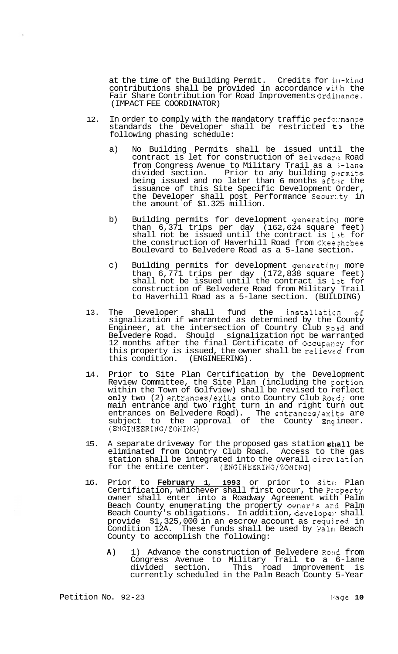at the time of the Building Permit. Credits for ill-kind contributions shall be provided in accordance wi1.h the Fair Share Contribution for Road Improvements Ordinance. (IMPACT FEE COORDINATOR)

- 12. In order to comply with the mandatory traffic perfo::mance standards the Developer shall be restricted to the following phasing schedule:
	- a) No Building Permits shall be issued until the contract is let for construction of Belvedere Road from Congress Avenue to Military Trail as a 5-lane divided section. Prior to any building permits being issued and no later than 6 months after the issuance of this Site Specific Development Order, the Developer shall post Performance Secur:.ty in the amount of \$1.325 million.
	- b) Building permits for development generating more than 6,371 trips per day (162,624 square feet) shall not be issued until the contract is 12t for the construction of Haverhill Road from Okeezhobee Boulevard to Belvedere Road as a 5-lane section.
	- c) Building permits for development generating more than 6,771 trips per day (172,838 square feet) shall not be issued until the contract is 13t for construction of Belvedere Road from Military Trail to Haverhill Road as a 5-lane section. (BUILDING)
- 13. The Developer shall fund the installaticn of signalization if warranted as determined by the County Engineer, at the intersection of Country Club Rosd and Belvedere Road. Should signalization not be warranted 12 months after the final Certificate of Occupanzy for this property is issued, the owner shall be relieved from this condition. (ENGINEERING).
- 14. Prior to Site Plan Certification by the Development Review Committee, the Site Plan (including the portion within the Town of Golfview) shall be revised to reflect  $\texttt{only two}$  (2) entrances/exits onto Country Club Road; one main entrance and two right turn in and right turn out entrances on Belvedere Road). The entrances/exits are subject to the approval of the County  $Enç$  ineer. (ENGINEERING/ZONING)
- 15. A separate driveway for the proposed gas station shall be eliminated from Country Club Road. Access to the gas station shall be integrated into the overall circulation for the entire center. (ENGINEERING/ZONING)
- 16. Prior to **February 1, 1993** or prior to Site! Plan Certification, whichever shall first occur, the Pxoperty owner shall enter into a Roadway Agreement with Palm Beach County enumerating the property owner's and Palm Beach County's obligations. In addition, developel: shall provide \$1,325,000 in an escrow account as requjred in Condition 12A. These funds shall be used by Paln Beach County to accomplish the following:
	- A) 1) Advance the construction of Belvedere Road from Congress Avenue to Military Trail **to** a 6-lane divided section. This road improvement is currently scheduled in the Palm Beach County 5-Year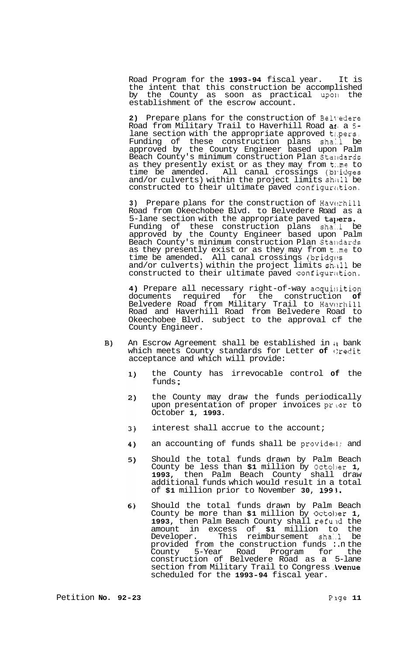Road Program for the **1993-94** fiscal year. It is the intent that this construction be accomplished by the County as soon as practical up011 the establishment of the escrow account.

**2)** Prepare plans for the construction of Bel\\*edere Road from Military Trail to Haverhill Road a:, a **5**  lane section with the appropriate approved tapers. Funding of these construction plans shall be approved by the County Engineer based upon Palm Beach County's minimum construction Plan Standards as they presently exist or as they may from t:.me to time be amended. All canal crossings (bl-idges and/or culverts) within the project limits shall be constructed to their ultimate paved configuration.

3) Prepare plans for the construction of Haverhill Road from Okeechobee Blvd. to Belvedere Road as a 5-lane section with the appropriate paved tapers. Funding of these construction plans sha:.l be approved by the County Engineer based upon Palm Beach County's minimum construction Plan Stalldards as they presently exist or as they may from t.me to time be amended. All canal crossings (bridges and/or culverts) within the project limits shall be constructed to their ultimate paved configuration.

4) Prepare all necessary right-of-way acquisition documents required for the construction **of**  Belvedere Road from Military Trail to Haverhill Road and Haverhill Road from Belvedere Road to Okeechobee Blvd. subject to the approval cf the County Engineer.

- An Escrow Agreement shall be established in it bank B) which meets County standards for Letter of Credit acceptance and which will provide:
	- the County has irrevocable control **of** the funds ;  $1)$
	- $2)$ the County may draw the funds periodically upon presentation of proper invoices prior to October **1, 1993.**
	- interest shall accrue to the account;  $3)$
	- an accounting of funds shall be provideci; and 4)
	- $5)$ Should the total funds drawn by Palm Beach County be less than **\$1** million by 0ctol)er **1, 1993,** then Palm Beach County shall draw additional funds which would result in a total of **\$1** million prior to November **30, 1993.**
	- Should the total funds drawn by Palm Beach  $6)$ County be more than \$1 million by October 1, **1993,** then Palm Beach County shall refuld the amount in excess of **\$1** million to the Developer. This reimbursement sha1.l be provided from the construction funds :.n the County 5-Year Road Program for the construction of Belvedere Road as a 5-lane section from Military Trail to Congress . Ivenue scheduled for the **1993-94** fiscal year.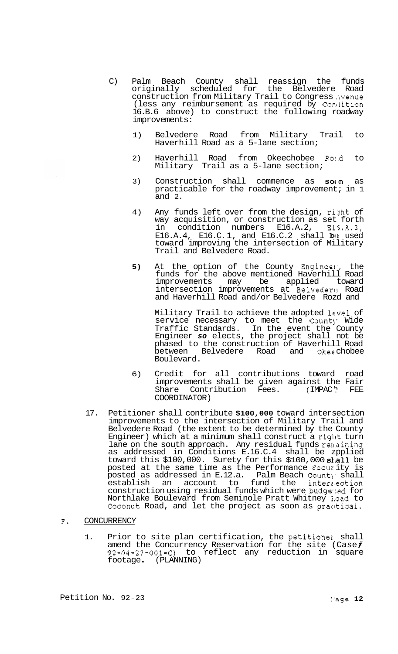- C) Palm Beach County shall reassign the funds originally scheduled for the Belvedere Road construction from Military Trail to Congress ,ivenue (less any reimbursement as required by Condition 16.B.6 above) to construct the following roadway improvements:
	- 1) Belvedere Road from Military Trail to Haverhill Road as a 5-lane section;
	- 2) Haverhill Road from Okeechobee Road to Military Trail as a 5-lane section;
	- 3) Construction shall commence as  $SO(n)$  as practicable for the roadway improvement; in 1 and 2.
	- 4) Any funds left over from the design, riyht of way acquisition, or construction as set forth in condition numbers E16.A.2, El5.A.3, E16.A.4, E16.C.1, and E16.C.2 shall **b**e used toward improving the intersection of Military Trail and Belvedere Road.
	- **5)** At the option of the County Engineel,, the funds for the above mentioned Haverhill Road improvements may be applied toward intersection improvements at Belvedere Road and Haverhill Road and/or Belvedere Rozd and

Military Trail to achieve the adopted level of service necessary to meet the County Wide Traffic Standards. In the event the County Engineer *so* elects, the project shall not be phased to the construction of Haverhill Road<br>between Belvedere Road and Okeechobee between Belvedere Road and Boulevard.

- 6) Credit for all contributions toward road improvements shall be given against the Fair<br>Share Contribution Fees. (IMPAC'' FEE Share Contribution Fees. (IMPAC' FEE COORDINATOR)
- 17. Petitioner shall contribute **\$100,000** toward intersection improvements to the intersection of Military Trail and Belvedere Road (the extent to be determined by the County Engineer) which at a minimum shall construct a right turn lane on the south approach. Any residual funds renaining as addressed in Conditions E.16.C.4 shall be zpplied toward this \$100,000. Surety for this \$100,000 shall be posted at the same time as the Performance Secur ity is  $\overline{\text{posted}}$  as addressed in E.12.a.  $\,$  Palm Beach Count $\,$  shall establish an account to fund the interzection construction using residual funds which were budgeted for Northlake Boulevard from Seminole Pratt Whitney I:oad to Coconut Road, and let the project as soon as practical.
- F. CONCURRENCY
	- 1. Prior to site plan certification, the petitionel shall amend the Concurrency Reservation for the site (Case $f$ 92-04-27-001-C) to reflect any reduction in square footage . (PLANNING)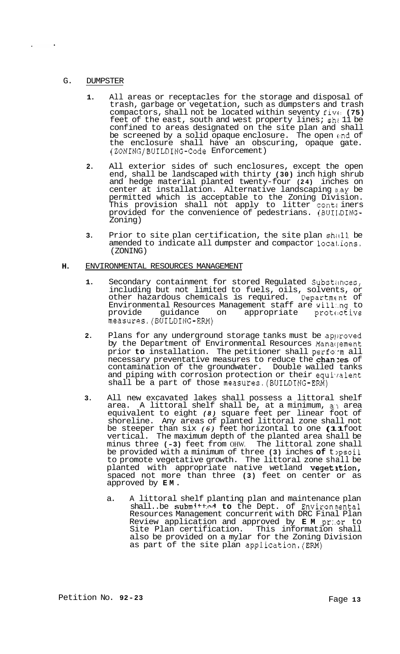## G. DUMPSTER

- **1.** All areas or receptacles for the storage and disposal of trash, garbage or vegetation, such as dumpsters and trash compactors, shall not be located within seventy five: **(75)**  feet of the east, south and west property lines; sh: 11 be confined to areas designated on the site plan and shall be screened by a solid opaque enclosure. The open end of the enclosure shall have an obscuring, opaque gate. (ZONING/BUILDING-Code Enforcement)
- **2.** All exterior sides of such enclosures, except the open end, shall be landscaped with thirty **(30)** inch high shrub and hedge material planted twenty-four **(24)** inches on center at installation. Alternative landscaping n.ay be permitted which is acceptable to the Zoning Division. This provision shall not apply to litter contz iners provided for the convenience of pedestrians. (BUI1,DING-Zoning)
- **3.** Prior to site plan certification, the site plan shall be amended to indicate all dumpster and compactor 1ocal.ions. (ZONING)

## **H.** ENVIRONMENTAL RESOURCES MANAGEMENT

- 1. Secondary containment for stored Regulated Substances, including but not limited to fuels, oils, solvents, or other hazardous chemicals is required. Department of Environmental Resources Management staff are will:.ng to provide guidance on appropriate protective measures.(BUILDING-ERM)
- **2.** Plans for any underground storage tanks must be aplroved by the Department of Environmental Resources Management prior **to** installation. The petitioner shall perform all necessary preventative measures to reduce the chan xes of contamination of the groundwater. Double walled tanks and piping with corrosion protection or their equivalent shall be a part of those measures.(BUILDING-ERM)
- **3.** All new excavated lakes shall possess a littoral shelf area. A littoral shelf shall be, at a minimum, a.1 area equivalent to eight *(8)* square feet per linear foot of shoreline. Any areas of planted littoral zone shall not be steeper than six *(6)* feet horizontal to one **(11** foot vertical. The maximum depth of the planted area shall be minus three **(-3)** feet from OHW. The littoral zone shall be provided with a minimum of three (3) inches of topsoil to promote vegetative growth. The littoral zone shall be planted with appropriate native wetland vegetation, spaced not more than three **(3)** feet on center or as approved by **EM.** 
	- a. A littoral shelf planting plan and maintenance plan shall..be submitted to the Dept. of Environnental Resources Management concurrent with DRC Final Plan Review application and approved by **EM** pr:.or to Site Plan certification. This information shall also be provided on a mylar for the Zoning Division as part of the site plan application.(ERM)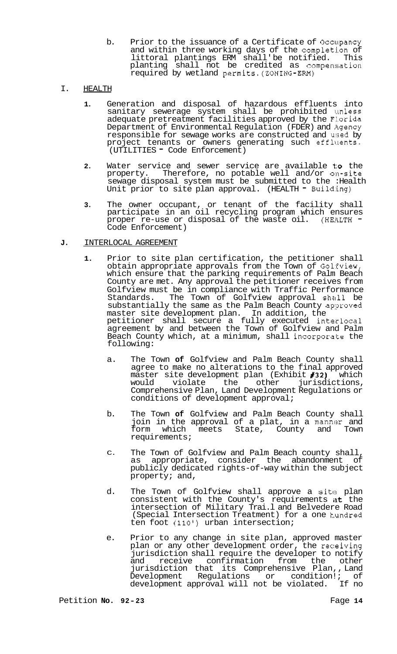b. Prior to the issuance of a Certificate of Occupancy and within three working days of the completion of littoral plantings ERM shall' be notified. This planting shall not be credited as compensation required by wetland permits.(ZONING-ERM)

# I. HEALTH

- **1.** Generation and disposal of hazardous effluents into sanitary sewerage system shall be prohibited unless adequate pretreatment facilities approved by the Florida Department of Environmental Regulation (FDER) and Agency responsible for sewage works are constructed and used by project tenants or owners generating such effluents. (UTILITIES - Code Enforcement)
- **2.** Water service and sewer service are available **to** the property. Therefore, no potable well and/or on-site sewage disposal system must be submitted to the :Health Unit prior to site plan approval. (HEALTH - Building)
- **3.** The owner occupant, or tenant of the facility shall participate in an oil recycling program which ensures proper re-use or disposal of the waste oil. (HE!LTH -Code Enforcement)

# **J.** INTERLOCAL AGREEMENT

- **1.** Prior to site plan certification, the petitioner shall obtain appropriate approvals from the Town of Gol:Eview, which ensure that the parking requirements of Palm Beach County are met. Any approval the petitioner receives from Golfview must be in compliance with Traffic Performance<br>Standards. The Town of Golfview approval shall be The Town of Golfview approval shall be substantially the same as the Palm Beach County approved master site development plan. In addition, the petitioner shall secure a fully executed interlocal agreement by and between the Town of Golfview and Palm Beach County which, at a minimum, shall incorporate the following:
	- a. The Town **of** Golfview and Palm Beach County shall agree to make no alterations to the final approved master site development plan (Exhibit **#32)** which other jurisdictions, Comprehensive Plan, Land Development Regulations or conditions of development approval;
	- b. The Town **of** Golfview and Palm Beach County shall join in the approval of a plat, in a manner and form which meets State, County and Town requirements;
	- C. The Town of Golfview and Palm Beach county shall, as appropriate, consider the abandonment of publicly dedicated rights-of-way within the subject property; and,
	- d. The Town of Golfview shall approve a site plan consistent with the County's requirements at the intersection of Military Trai.l and Belvedere Road (Special Intersection Treatment) for a one kundred ten foot **(110')** urban intersection;
	- e. Prior to any change in site plan, approved master plan or any other development order, the receiving jurisdiction shall require the developer to notify<br>and receive confirmation from the other and receive confirmation from the other jurisdiction that its Comprehensive Plan,, Land Development Regulations or condition!; of<br>development\_approval\_will\_not\_be\_violated. If\_no development approval will not be violated.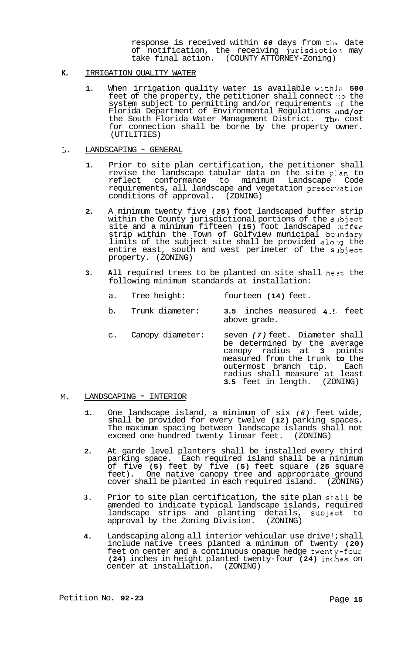response is received within *60* days from the date of notification, the receiving jurisdiction may take final action. (COUNTY ATTORNEY-Zoning)

## **K.** IRRIGATION QUALITY WATER

**1.** When irrigation quality water is available within **500**  feet of the property, the petitioner shall connect *':o* the system subject to permitting and/or requirements of the Florida Department of Environmental Regulations  $\mathfrak{u}$ nd/or the South Florida Water Management District. The cost for connection shall be borne by the property owner. (UTILITIES)

## L. LANDSCAPING - GENERAL

- **1.** Prior to site plan certification, the petitioner shall revise the landscape tabular data on the site p:.an to reflect conformance to minimum Landscape Code requirements, all landscape and vegetation preser'ration conditions of approval. (ZONING)
- **2.** A minimum twenty five **(25)** foot landscaped buffer strip within the County jurisdictional portions of the subject site and a minimum fifteen **(15)** foot landscaped mffer strip within the Town **of** Golfview municipal bolndary limits of the subject site shall be provided a1o:lg the entire east, south and west perimeter of the *s* lbject property. (ZONING)
- **3.** All required trees to be planted on site shall meet the following minimum standards at installation:

- b. Trunk diameter: **3.5** inches measured **4.1,** feet above grade.
- c. Canopy diameter: seven *(7)* feet. Diameter shall be determined by the average canopy radius at **3** points measured from the trunk **to** the outermost branch tip. radius shall measure at least **3.5** feet in length. (ZONING)

## **M.** LANDSCAPING - INTERIOR

- **1.** One landscape island, a minimum of six *(6)* feet wide, shall be provided for every twelve **(12)** parking spaces. The maximum spacing between landscape islands shall not exceed one hundred twenty linear feet. (ZONING)
- **2.** At garde level planters shall be installed every third parking space. Each required island shall be a ninimum of five **(5)** feet by five **(5)** feet square **(25** square feet). One native canopy tree and appropriate ground cover shall be planted in each required island. (ZONING)
- **3.** Prior to site plan certification, the site plan skall be amended to indicate typical landscape islands, required landscape strips and planting details, sunject to approval by the Zoning Division. (ZONING)
- **4.** Landscaping along all interior vehicular use drive!; shall include native trees planted a minimum of twenty **(20)**  feet on center and a continuous opaque hedge twenty-four **(24)** inches in height planted twenty-four **(24)** inclhes on center at installation. (ZONING)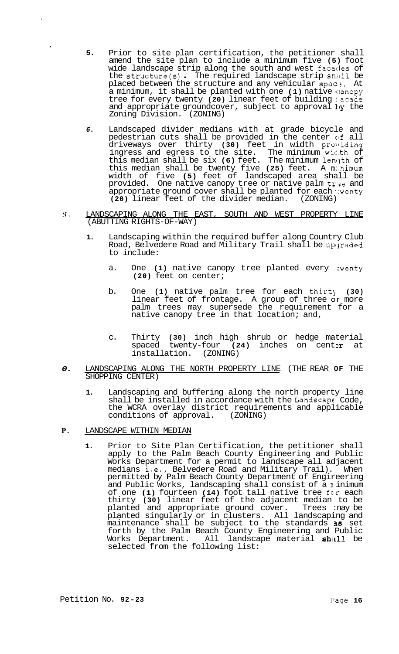- **5.** Prior to site plan certification, the petitioner shall amend the site plan to include a minimum five **(5)** foot wide landscape strip along the south and west facatles of the structure(s) . The required landscape strip shill be placed between the structure and any vehicular spac **3.** At a minimum, it shall be planted with one **(1)** native c!anopy tree for every twenty **(20)** linear feet of building l'acade and appropriate groundcover, subject to approval  $\mathbf{h}\mathbf{y}$  the Zoning Division. (ZONING)
- *6.* Landscaped divider medians with at grade bicycle and pedestrian cuts shall be provided in the center of all driveways over thirty **(30)** feet in width prolriding ingress and egress to the site. The minimum wic.th of this median shall be six **(6)** feet. The minimum lenlyth of this median shall be twenty five **(25)** feet. A m:.nimum width of five **(5)** feet of landscaped area shall be provided. One native canopy tree or native palm tr2e and appropriate ground cover shall be planted for each wenty<br>(20) linear feet of the divider median. (ZONING) (20) linear feet of the divider median.
- **N.** LANDSCAPING ALONG THE EAST, SOUTH AND WEST PROPERTY LINE (ABUTTING RIGHTS-OF-WAY)
	- **1.** Landscaping within the required buffer along Country Club Road, Belvedere Road and Military Trail shall be up graded to include:
		- a. One (1) native canopy tree planted every wenty **(20)** feet on center;
		- b. One **(1)** native palm tree for each thirty (30) linear feet of frontage. A group of three or more palm trees may supersede the requirement for a native canopy tree in that location; and,
		- c. Thirty **(30)** inch high shrub or hedge material spaced twenty-four (24) inches on center at installation. (ZONING)
- *0.* LANDSCAPING ALONG THE NORTH PROPERTY LINE (THE REAR **OF** THE SHOPPING CENTER)
	- **1.** Landscaping and buffering along the north property line shall be installed in accordance with the Landscap( Code, the WCRA overlay district requirements and applicable conditions of approval. (ZONING) conditions of approval.
- **P.** LANDSCAPE WITHIN MEDIAN

 $\ddot{\phantom{a}}$ 

**1.** Prior to Site Plan Certification, the petitioner shall apply to the Palm Beach County Engineering and Public Works Department for a permit to landscape all adjacent medians  $\overline{i}$ .e., Belvedere Road and Military Trail). When permitted by Palm Beach County Department of Engireering and Public Works, landscaping shall consist of a **n** inimum of one **(1)** fourteen **(14)** foot tall native tree fcr each thirty **(30)** linear feet of the adjacent median to be planted and appropriate ground cover. Trees :nay be planted singularly or in clusters. All landscaping and maintenance shall be subject to the standards *3s* set forth by the Palm Beach County Engineering and Public Works Department. All landscape material shall be selected from the following list: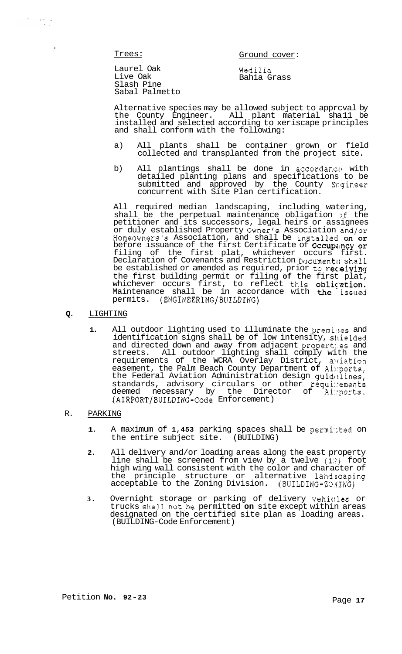Trees: Trees: Ground cover:

Laurel Oak Live Oak Slash Pine Sabal Palmetto

Wedilia Bahia Grass

Alternative species may be allowed subject to apprcval by<br>the County Engineer. All plant material shall be All plant material sha 11 be installed and selected according to xeriscape principles and shall conform with the following:

- a) All plants shall be container grown or field collected and transplanted from the project site.
- b) All plantings shall be done in accordance with detailed planting plans and specifications to be submitted and approved by the County Ergineer concurrent with Site Plan certification.

All required median landscaping, including watering, shall be the perpetual maintenance obligation >f the petitioner and its successors, legal heirs or assignees or duly established Property Owner's Association and/or Homeowners's Association, and shall be installed on or before issuance of the first Certificate of Occupancy or filing of the first plat, whichever occurs first. Declaration of Covenants and Restriction Document:; shall be established or amended as required, prior to receiving the first building permit or filing **of** the first plat, whichever occurs first, to reflect this obliqation. Maintenance shall be in accordance with **the i**ssued permits. (ENGINEERING/BUILDING)

- **Q.** LIGHTING
	- **1.** All outdoor lighting used to illuminate the premi:;es and identification signs shall be of low intensity, sllielded and directed down and away from adjacent propert:.es and streets. All outdoor lighting shall comply with the requirements of the WCRA Overlay District, aTriation easement, the Palm Beach County Department **of** Ai::ports, the Federal Aviation Administration design  $quid$ elines, standards, advisory circulars or other requi:ements deemed necessary by the Director of Ai::ports. (AIRPORT/BUILDING-Code Enforcement)

## R. PARKING

- 1. A maximum of 1,453 parking spaces shall be permitted on the entire subject site. (BUILDING)
- **2.** All delivery and/or loading areas along the east property line shall be screened from view by a twelve **(l:!)** foot high wing wall consistent with the color and character of the principle structure or alternative 1and;caping acceptable to the Zoning Division.  $(BULDING-ZO YING)$
- **3.** Overnight storage or parking of delivery vehic:les or trucks shall not be permitted on site except within areas designated on the certified site plan as loading areas. (BUILDING-Code Enforcement)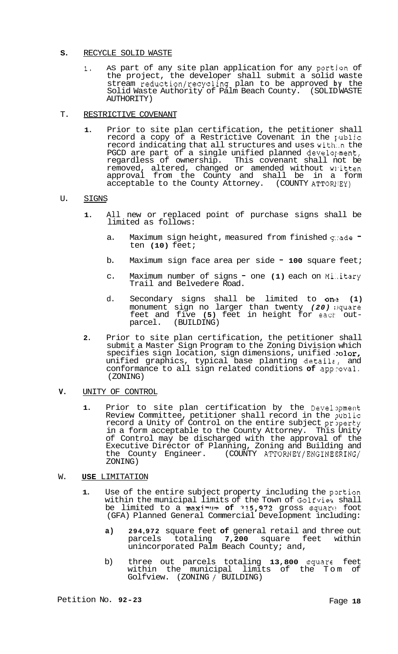### S. RECYCLE SOLID WASTE

**1.** AS part of any site plan application for any portjon of the project, the developer shall submit a solid waste stream reduction/recycling plan to be approved **by** the Solid Waste Authority of Palm Beach County. (SOLID WASTE AUTHORITY)

## T. RESTRICTIVE COVENANT

**1.** Prior to site plan certification, the petitioner shall record a copy of a Restrictive Covenant in the  $public$ record indicating that all structures and uses with..n the PGCD are part of a single unified planned develo $\mathfrak l$ ment, regardless of ownership. This covenant shall not be removed, altered, changed or amended without written approval from the County and shall be in a form acceptable to the County Attorney. (COUNTY ATTORIEY)

## U. SIGNS

- **1.** All new or replaced point of purchase signs shall be limited as follows:
	- a. Maximum sign height, measured from finished grade  $=$ ten **(10)** feet;
	- b. Maximum sign face area per side **100** square feet;
	- c. Maximum number of signs one **(1)** each on Mi..itary Trail and Belvedere Road.
	- d. Secondary signs shall be limited to on(? **(1)**  monument sign no larger than twenty *(20)* isquare feet and five **(5)** feet in height for each out-<br>parcel. (BUILDING)
- **2.** Prior to site plan certification, the petitioner shall submit a Master Sign Program to the Zoning Division which specifies sign location, sign dimensions, unified solor, unified graphics, typical base planting details, and conformance to all sign related conditions **of** approval. (ZONING)

## **V.** UNITY OF CONTROL

1. Prior to site plan certification by the Devel pment Review Committee, petitioner shall record in the pblic record a Unity of Control on the entire subject property in a form acceptable to the County Attorney. This Unity of Control may be discharged with the approval of the Executive Director of Planning, Zoning and Building and the County Engineer. (COUNTY ATTORNEY/ENGINEERING/ ZONING)

# W. **USE** LIMITATION

- **1.** Use of the entire subject property including the portion within the municipal limits of the Town of Golfviea shall be limited to a maximlnv **of 31,5,972** gross squarc: foot (GFA) Planned General Commercial Development including:
	- **a) 294,972** square feet **of** general retail and three out parcels totaling **7,200** square feet within unincorporated Palm Beach County; and,
	- b) three out parcels totaling 13,800 square feet within the municipal limits of the Tom of Golfview. (ZONING / BUILDING)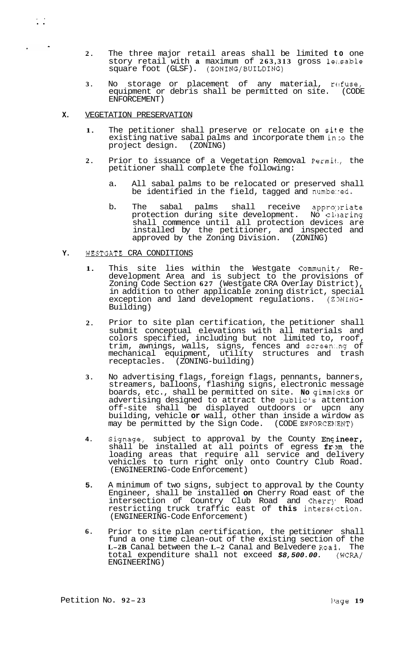- **2.** The three major retail areas shall be limited **to** one story retail with **a** maximum of **263,313** gross lezsable square foot (GLSF). (ZONING/BUILDING)
- **3.** No storage or placement of any material, refuse, equipment or debris shall be permitted on site. (CODE ENFORCEMENT)
- **X.**  VEGETATION PRESERVATION

,. ..

- 1. The petitioner shall preserve or relocate on site the existing native sabal palms and incorporate them in to the project design. (ZONING)
- **2.** Prior to issuance of a Vegetation Removal Permit., the petitioner shall complete the following:
	- a. All sabal palms to be relocated or preserved shall be identified in the field, tagged and numbe:red.
	- b. The sabal palms shall receive appropriate protection during site development. No clearing shall commence until all protection devices are installed by the petitioner, and inspected and approved by the Zoning Division. (ZONING)

#### **Y.**  WESTGATE CRA CONDITIONS

- **1.**  This site lies within the Westgate Communit $\gamma$  Re-development Area and is subject to the provisions of Zoning Code Section **627** (Westgate CRA Overlay District), in addition to other applicable zoning district, special exception and land development regulations. (ZONING-Building)
- **2.**  Prior to site plan certification, the petitioner shall submit conceptual elevations with all materials and colors specified, including but not limited to, roof, trim, awnings, walls, signs, fences and screen:.ng of mechanical equipment, utility structures and trash receptacles. (ZONING-building)
- **3.**  No advertising flags, foreign flags, pennants, banners, streamers, balloons, flashing signs, electronic message boards, etc., shall be permitted on site. **No** gimmjcks or advertising designed to attract the public's attention off-site shall be displayed outdoors or upcn any building, vehicle **or** wall, other than inside a wirdow as may be permitted by the Sign Code. (CODE ENFORCENENT)
- **4.**  Signage, subject to approval by the County  $\mathtt{Enc}\,\mathtt{ineer}$ , shall be installed at all points of egress  $f r$ , the loading areas that require all service and delivery vehicles to turn right only onto Country Club Road. (ENGINEERING-Code Enforcement)
- **5.**  A minimum of two signs, subject to approval by the County Engineer, shall be installed **on** Cherry Road east of the intersection of Country Club Road and Cherry Road restricting truck traffic east of **this** intersc:ction. (ENGINEERING-Code Enforcement)
- **6.**  Prior to site plan certification, the petitioner shall fund a one time clean-out of the existing section of the **L-2B** Canal between the **L-2** Canal and Belvedere Roa3. The total expenditure shall not exceed *\$8,500.00.* (WCRA/ ENGINEERING)